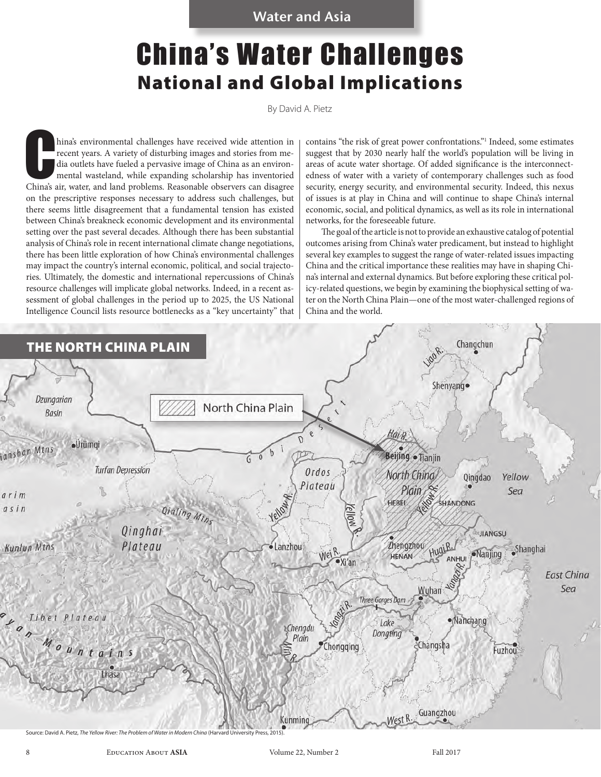# China's Water Challenges National and Global Implications

By David A. Pietz

hina's environmental challenges have received wide attention in recent years. A variety of disturbing images and stories from media outlets have fueled a pervasive image of China as an environmental wasteland, while expand hina's environmental challenges have received wide attention in recent years. A variety of disturbing images and stories from media outlets have fueled a pervasive image of China as an environmental wasteland, while expanding scholarship has inventoried on the prescriptive responses necessary to address such challenges, but there seems little disagreement that a fundamental tension has existed between China's breakneck economic development and its environmental setting over the past several decades. Although there has been substantial analysis of China's role in recent international climate change negotiations, there has been little exploration of how China's environmental challenges may impact the country's internal economic, political, and social trajectories. Ultimately, the domestic and international repercussions of China's resource challenges will implicate global networks. Indeed, in a recent assessment of global challenges in the period up to 2025, the US National Intelligence Council lists resource bottlenecks as a "key uncertainty" that

contains "the risk of great power confrontations."1 Indeed, some estimates suggest that by 2030 nearly half the world's population will be living in areas of acute water shortage. Of added significance is the interconnectedness of water with a variety of contemporary challenges such as food security, energy security, and environmental security. Indeed, this nexus of issues is at play in China and will continue to shape China's internal economic, social, and political dynamics, as well as its role in international networks, for the foreseeable future.

The goal of the article is not to provide an exhaustive catalog of potential outcomes arising from China's water predicament, but instead to highlight several key examples to suggest the range of water-related issues impacting China and the critical importance these realities may have in shaping China's internal and external dynamics. But before exploring these critical policy-related questions, we begin by examining the biophysical setting of water on the North China Plain—one of the most water-challenged regions of China and the world.

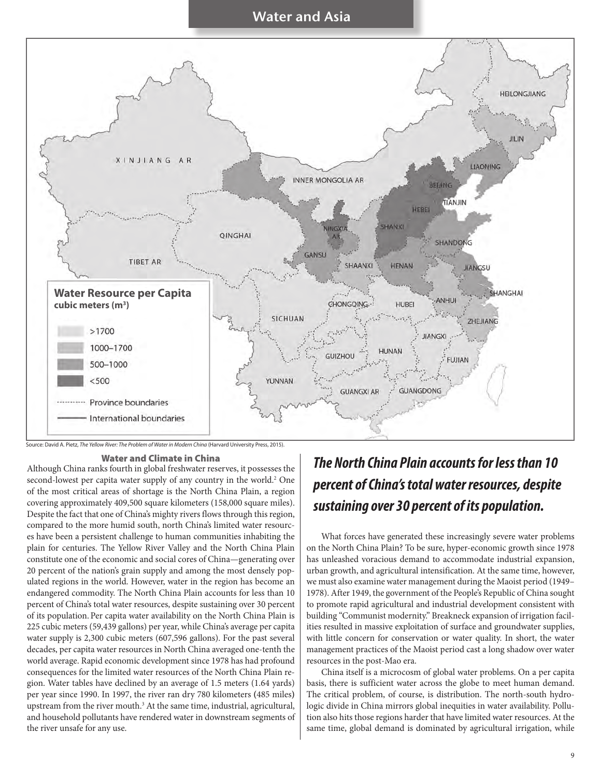

Source: David A. Pietz, *The Yellow River: The Problem of Water in Modern China* (Harvard University Press, 2015).

#### Water and Climate in China

Although China ranks fourth in global freshwater reserves, it possesses the second-lowest per capita water supply of any country in the world.<sup>2</sup> One of the most critical areas of shortage is the North China Plain, a region covering approximately 409,500 square kilometers (158,000 square miles). Despite the fact that one of China's mighty rivers flows through this region, compared to the more humid south, north China's limited water resources have been a persistent challenge to human communities inhabiting the plain for centuries. The Yellow River Valley and the North China Plain constitute one of the economic and social cores of China—generating over 20 percent of the nation's grain supply and among the most densely populated regions in the world. However, water in the region has become an endangered commodity. The North China Plain accounts for less than 10 percent of China's total water resources, despite sustaining over 30 percent of its population. Per capita water availability on the North China Plain is 225 cubic meters (59,439 gallons) per year, while China's average per capita water supply is 2,300 cubic meters (607,596 gallons). For the past several decades, per capita water resources in North China averaged one-tenth the world average. Rapid economic development since 1978 has had profound consequences for the limited water resources of the North China Plain region. Water tables have declined by an average of 1.5 meters (1.64 yards) per year since 1990. In 1997, the river ran dry 780 kilometers **(**485 miles**)** upstream from the river mouth.<sup>3</sup> At the same time, industrial, agricultural, and household pollutants have rendered water in downstream segments of the river unsafe for any use.

## *The North China Plain accounts for less than 10 percent of China's total water resources, despite sustaining over 30 percent of its population.*

What forces have generated these increasingly severe water problems on the North China Plain? To be sure, hyper-economic growth since 1978 has unleashed voracious demand to accommodate industrial expansion, urban growth, and agricultural intensification. At the same time, however, we must also examine water management during the Maoist period (1949– 1978). After 1949, the government of the People's Republic of China sought to promote rapid agricultural and industrial development consistent with building "Communist modernity." Breakneck expansion of irrigation facilities resulted in massive exploitation of surface and groundwater supplies, with little concern for conservation or water quality. In short, the water management practices of the Maoist period cast a long shadow over water resources in the post-Mao era.

China itself is a microcosm of global water problems. On a per capita basis, there is sufficient water across the globe to meet human demand. The critical problem, of course, is distribution. The north-south hydrologic divide in China mirrors global inequities in water availability. Pollution also hits those regions harder that have limited water resources. At the same time, global demand is dominated by agricultural irrigation, while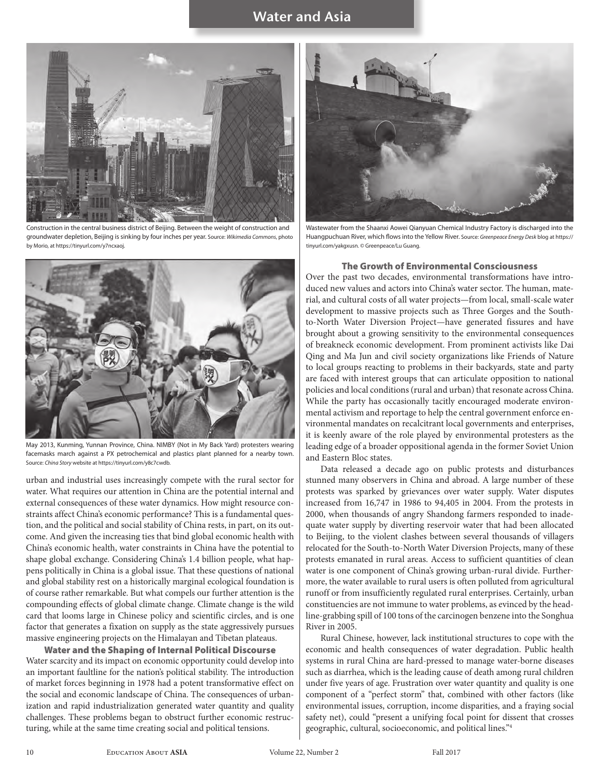

Construction in the central business district of Beijing. Between the weight of construction and groundwater depletion, Beijing is sinking by four inches per year. Source: *Wikimedia Commons*, photo by Morio, at https://tinyurl.com/y7ncxaoj.



May 2013, Kunming, Yunnan Province, China. NIMBY (Not in My Back Yard) protesters wearing facemasks march against a PX petrochemical and plastics plant planned for a nearby town. Source: *China Story* website at https://tinyurl.com/y8c7cwdb.

urban and industrial uses increasingly compete with the rural sector for water. What requires our attention in China are the potential internal and external consequences of these water dynamics. How might resource constraints affect China's economic performance? This is a fundamental question, and the political and social stability of China rests, in part, on its outcome. And given the increasing ties that bind global economic health with China's economic health, water constraints in China have the potential to shape global exchange. Considering China's 1.4 billion people, what happens politically in China is a global issue. That these questions of national and global stability rest on a historically marginal ecological foundation is of course rather remarkable. But what compels our further attention is the compounding effects of global climate change. Climate change is the wild card that looms large in Chinese policy and scientific circles, and is one factor that generates a fixation on supply as the state aggressively pursues massive engineering projects on the Himalayan and Tibetan plateaus.

Water and the Shaping of Internal Political Discourse Water scarcity and its impact on economic opportunity could develop into an important faultline for the nation's political stability. The introduction of market forces beginning in 1978 had a potent transformative effect on the social and economic landscape of China. The consequences of urbanization and rapid industrialization generated water quantity and quality challenges. These problems began to obstruct further economic restructuring, while at the same time creating social and political tensions.



Wastewater from the Shaanxi Aowei Qianyuan Chemical Industry Factory is discharged into the Huangpuchuan River, which flows into the Yellow River. Source: *Greenpeace Energy Desk* blog at https:// tinyurl.com/yakgxusn. © Greenpeace/Lu Guang.

#### The Growth of Environmental Consciousness

Over the past two decades, environmental transformations have introduced new values and actors into China's water sector. The human, material, and cultural costs of all water projects—from local, small-scale water development to massive projects such as Three Gorges and the Southto-North Water Diversion Project—have generated fissures and have brought about a growing sensitivity to the environmental consequences of breakneck economic development. From prominent activists like Dai Qing and Ma Jun and civil society organizations like Friends of Nature to local groups reacting to problems in their backyards, state and party are faced with interest groups that can articulate opposition to national policies and local conditions (rural and urban) that resonate across China. While the party has occasionally tacitly encouraged moderate environmental activism and reportage to help the central government enforce environmental mandates on recalcitrant local governments and enterprises, it is keenly aware of the role played by environmental protesters as the leading edge of a broader oppositional agenda in the former Soviet Union and Eastern Bloc states.

Data released a decade ago on public protests and disturbances stunned many observers in China and abroad. A large number of these protests was sparked by grievances over water supply. Water disputes increased from 16,747 in 1986 to 94,405 in 2004. From the protests in 2000, when thousands of angry Shandong farmers responded to inadequate water supply by diverting reservoir water that had been allocated to Beijing, to the violent clashes between several thousands of villagers relocated for the South-to-North Water Diversion Projects, many of these protests emanated in rural areas. Access to sufficient quantities of clean water is one component of China's growing urban-rural divide. Furthermore, the water available to rural users is often polluted from agricultural runoff or from insufficiently regulated rural enterprises. Certainly, urban constituencies are not immune to water problems, as evinced by the headline-grabbing spill of 100 tons of the carcinogen benzene into the Songhua River in 2005.

Rural Chinese, however, lack institutional structures to cope with the economic and health consequences of water degradation. Public health systems in rural China are hard-pressed to manage water-borne diseases such as diarrhea, which is the leading cause of death among rural children under five years of age. Frustration over water quantity and quality is one component of a "perfect storm" that, combined with other factors (like environmental issues, corruption, income disparities, and a fraying social safety net), could "present a unifying focal point for dissent that crosses geographic, cultural, socioeconomic, and political lines."4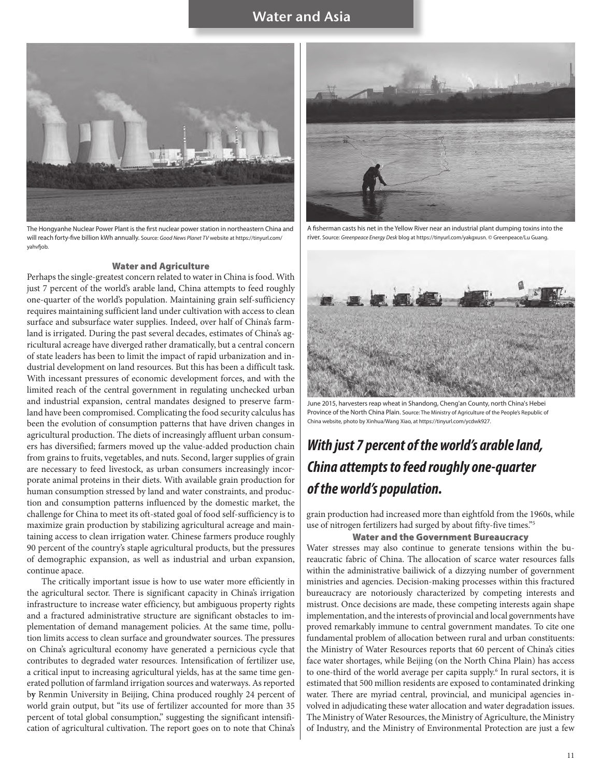

The Hongyanhe Nuclear Power Plant is the first nuclear power station in northeastern China and will reach forty-five billion kWh annually. Source: *Good News Planet TV* website at https://tinyurl.com/ yahvfjob.

#### Water and Agriculture

Perhaps the single-greatest concern related to water in China is food. With just 7 percent of the world's arable land, China attempts to feed roughly one-quarter of the world's population. Maintaining grain self-sufficiency requires maintaining sufficient land under cultivation with access to clean surface and subsurface water supplies. Indeed, over half of China's farmland is irrigated. During the past several decades, estimates of China's agricultural acreage have diverged rather dramatically, but a central concern of state leaders has been to limit the impact of rapid urbanization and industrial development on land resources. But this has been a difficult task. With incessant pressures of economic development forces, and with the limited reach of the central government in regulating unchecked urban and industrial expansion, central mandates designed to preserve farmland have been compromised. Complicating the food security calculus has been the evolution of consumption patterns that have driven changes in agricultural production. The diets of increasingly affluent urban consumers has diversified; farmers moved up the value-added production chain from grains to fruits, vegetables, and nuts. Second, larger supplies of grain are necessary to feed livestock, as urban consumers increasingly incorporate animal proteins in their diets. With available grain production for human consumption stressed by land and water constraints, and production and consumption patterns influenced by the domestic market, the challenge for China to meet its oft-stated goal of food self-sufficiency is to maximize grain production by stabilizing agricultural acreage and maintaining access to clean irrigation water. Chinese farmers produce roughly 90 percent of the country's staple agricultural products, but the pressures of demographic expansion, as well as industrial and urban expansion, continue apace.

The critically important issue is how to use water more efficiently in the agricultural sector. There is significant capacity in China's irrigation infrastructure to increase water efficiency, but ambiguous property rights and a fractured administrative structure are significant obstacles to implementation of demand management policies. At the same time, pollution limits access to clean surface and groundwater sources. The pressures on China's agricultural economy have generated a pernicious cycle that contributes to degraded water resources. Intensification of fertilizer use, a critical input to increasing agricultural yields, has at the same time generated pollution of farmland irrigation sources and waterways. As reported b**y** Renmin University in Beijing, China produced roughly 24 percent of world grain output, but "its use of fertilizer accounted for more than 35 percent of total global consumption," suggesting the significant intensification of agricultural cultivation. The report goes on to note that China's



A fisherman casts his net in the Yellow River near an industrial plant dumping toxins into the river. Source: *Greenpeace Energy Desk* blog at https://tinyurl.com/yakgxusn. © Greenpeace/Lu Guang.



June 2015, harvesters reap wheat in Shandong, Cheng'an County, north China's Hebei Province of the North China Plain. Source: The Ministry of Agriculture of the People's Republic of China website, photo by Xinhua/Wang Xiao, at https://tinyurl.com/ycdwk927.

## *With just 7 percent of the world's arable land, China attempts to feed roughly one-quarter of the world's population.*

grain production had increased more than eightfold from the 1960s, while use of nitrogen fertilizers had surged by about fifty-five times."5

#### Water and the Government Bureaucracy

Water stresses may also continue to generate tensions within the bureaucratic fabric of China. The allocation of scarce water resources falls within the administrative bailiwick of a dizzying number of government ministries and agencies. Decision-making processes within this fractured bureaucracy are notoriously characterized by competing interests and mistrust. Once decisions are made, these competing interests again shape implementation, and the interests of provincial and local governments have proved remarkably immune to central government mandates. To cite one fundamental problem of allocation between rural and urban constituents: the Ministry of Water Resources reports that 60 percent of China's cities face water shortages, while Beijing (on the North China Plain) has access to one-third of the world average per capita supply.<sup>6</sup> In rural sectors, it is estimated that 500 million residents are exposed to contaminated drinking water. There are myriad central, provincial, and municipal agencies involved in adjudicating these water allocation and water degradation issues. The Ministry of Water Resources, the Ministry of Agriculture, the Ministry of Industry, and the Ministry of Environmental Protection are just a few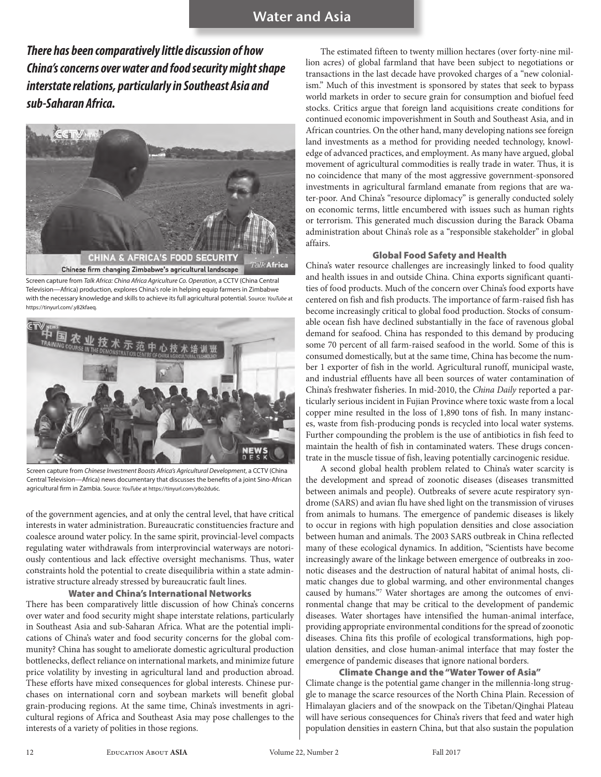*There has been comparatively little discussion of how China's concerns over water and food security might shape interstate relations, particularly in Southeast Asia and sub-Saharan Africa.*



Screen capture from *Talk Africa: China Africa Agriculture Co. Operation*, a CCTV (China Central Television—Africa) production, explores China's role in helping equip farmers in Zimbabwe with the necessary knowledge and skills to achieve its full agricultural potential. Source: *YouTube* at https://tinyurl.com/.y82kfaeq.



Screen capture from *Chinese Investment Boosts Africa's Agricultural Development*, a CCTV (China Central Television—Africa) news documentary that discusses the benefits of a joint Sino-African agricultural firm in Zambia. Source: *YouTube* at https://tinyurl.com/y8o2du6c.

of the government agencies, and at only the central level, that have critical interests in water administration. Bureaucratic constituencies fracture and coalesce around water policy. In the same spirit, provincial-level compacts regulating water withdrawals from interprovincial waterways are notoriously contentious and lack effective oversight mechanisms. Thus, water constraints hold the potential to create disequilibria within a state administrative structure already stressed by bureaucratic fault lines.

### Water and China's International Networks

There has been comparatively little discussion of how China's concerns over water and food security might shape interstate relations, particularly in Southeast Asia and sub-Saharan Africa. What are the potential implications of China's water and food security concerns for the global community? China has sought to ameliorate domestic agricultural production bottlenecks, deflect reliance on international markets, and minimize future price volatility by investing in agricultural land and production abroad. These efforts have mixed consequences for global interests. Chinese purchases on international corn and soybean markets will benefit global grain-producing regions. At the same time, China's investments in agricultural regions of Africa and Southeast Asia may pose challenges to the interests of a variety of polities in those regions.

The estimated fifteen to twenty million hectares (over forty-nine million acres) of global farmland that have been subject to negotiations or transactions in the last decade have provoked charges of a "new colonialism." Much of this investment is sponsored by states that seek to bypass world markets in order to secure grain for consumption and biofuel feed stocks. Critics argue that foreign land acquisitions create conditions for continued economic impoverishment in South and Southeast Asia, and in African countries. On the other hand, many developing nations see foreign land investments as a method for providing needed technology, knowledge of advanced practices, and employment. As many have argued, global movement of agricultural commodities is really trade in water. Thus, it is no coincidence that many of the most aggressive government-sponsored investments in agricultural farmland emanate from regions that are water-poor. And China's "resource diplomacy" is generally conducted solely on economic terms, little encumbered with issues such as human rights or terrorism. This generated much discussion during the Barack Obama administration about China's role as a "responsible stakeholder" in global affairs.

#### Global Food Safety and Health

China's water resource challenges are increasingly linked to food quality and health issues in and outside China. China exports significant quantities of food products. Much of the concern over China's food exports have centered on fish and fish products. The importance of farm-raised fish has become increasingly critical to global food production. Stocks of consumable ocean fish have declined substantially in the face of ravenous global demand for seafood. China has responded to this demand by producing some 70 percent of all farm-raised seafood in the world. Some of this is consumed domestically, but at the same time, China has become the number 1 exporter of fish in the world. Agricultural runoff, municipal waste, and industrial effluents have all been sources of water contamination of China's freshwater fisheries. In mid-2010, the *China Daily* reported a particularly serious incident in Fujian Province where toxic waste from a local copper mine resulted in the loss of 1,890 tons of fish. In many instances, waste from fish-producing ponds is recycled into local water systems. Further compounding the problem is the use of antibiotics in fish feed to maintain the health of fish in contaminated waters. These drugs concentrate in the muscle tissue of fish, leaving potentially carcinogenic residue.

A second global health problem related to China's water scarcity is the development and spread of zoonotic diseases (diseases transmitted between animals and people**)**. Outbreaks of severe acute respiratory syndrome (SARS) and avian flu have shed light on the transmission of viruses from animals to humans. The emergence of pandemic diseases is likely to occur in regions with high population densities and close association between human and animals. The 2003 SARS outbreak in China reflected many of these ecological dynamics. In addition, "Scientists have become increasingly aware of the linkage between emergence of outbreaks in zoonotic diseases and the destruction of natural habitat of animal hosts, climatic changes due to global warming, and other environmental changes caused by humans."7 Water shortages are among the outcomes of environmental change that may be critical to the development of pandemic diseases. Water shortages have intensified the human-animal interface, providing appropriate environmental conditions for the spread of zoonotic diseases. China fits this profile of ecological transformations, high population densities, and close human-animal interface that may foster the emergence of pandemic diseases that ignore national borders.

### Climate Change and the "Water Tower of Asia"

Climate change is the potential game changer in the millennia-long struggle to manage the scarce resources of the North China Plain. Recession of Himalayan glaciers and of the snowpack on the Tibetan/Qinghai Plateau will have serious consequences for China's rivers that feed and water high population densities in eastern China, but that also sustain the population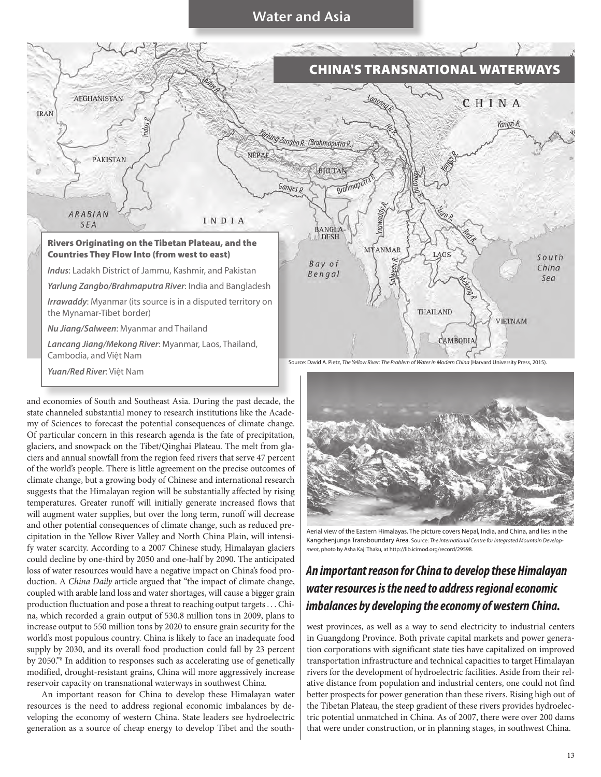

and economies of South and Southeast Asia. During the past decade, the state channeled substantial money to research institutions like the Academy of Sciences to forecast the potential consequences of climate change. Of particular concern in this research agenda is the fate of precipitation, glaciers, and snowpack on the Tibet/Qinghai Plateau. The melt from glaciers and annual snowfall from the region feed rivers that serve 47 percent of the world's people. There is little agreement on the precise outcomes of climate change, but a growing body of Chinese and international research suggests that the Himalayan region will be substantially affected by rising temperatures. Greater runoff will initially generate increased flows that will augment water supplies, but over the long term, runoff will decrease and other potential consequences of climate change, such as reduced precipitation in the Yellow River Valley and North China Plain, will intensify water scarcity. According to a 2007 Chinese study, Himalayan glaciers could decline by one-third by 2050 and one-half by 2090. The anticipated loss of water resources would have a negative impact on China's food production. A *China Daily* article argued that "the impact of climate change, coupled with arable land loss and water shortages, will cause a bigger grain production fluctuation and pose a threat to reaching output targets . . . China, which recorded a grain output of 530.8 million tons in 2009, plans to increase output to 550 million tons by 2020 to ensure grain security for the world's most populous country. China is likely to face an inadequate food supply by 2030, and its overall food production could fall by 23 percent by 2050."8 In addition to responses such as accelerating use of genetically modified, drought-resistant grains, China will more aggressively increase reservoir capacity on transnational waterways in southwest China.

An important reason for China to develop these Himalayan water resources is the need to address regional economic imbalances by developing the economy of western China. State leaders see hydroelectric generation as a source of cheap energy to develop Tibet and the southAerial view of the Eastern Himalayas. The picture covers Nepal, India, and China, and lies in the Kangchenjunga Transboundary Area. Source: *The International Centre for Integrated Mountain Development*, photo by Asha Kaji Thaku, at http://lib.icimod.org/record/29598.

## *An important reason for China to develop these Himalayan water resources is the need to address regional economic imbalances by developing the economy of western China.*

west provinces, as well as a way to send electricity to industrial centers in Guangdong Province. Both private capital markets and power generation corporations with significant state ties have capitalized on improved transportation infrastructure and technical capacities to target Himalayan rivers for the development of hydroelectric facilities. Aside from their relative distance from population and industrial centers, one could not find better prospects for power generation than these rivers. Rising high out of the Tibetan Plateau, the steep gradient of these rivers provides hydroelectric potential unmatched in China. As of 2007, there were over 200 dams that were under construction, or in planning stages, in southwest China.